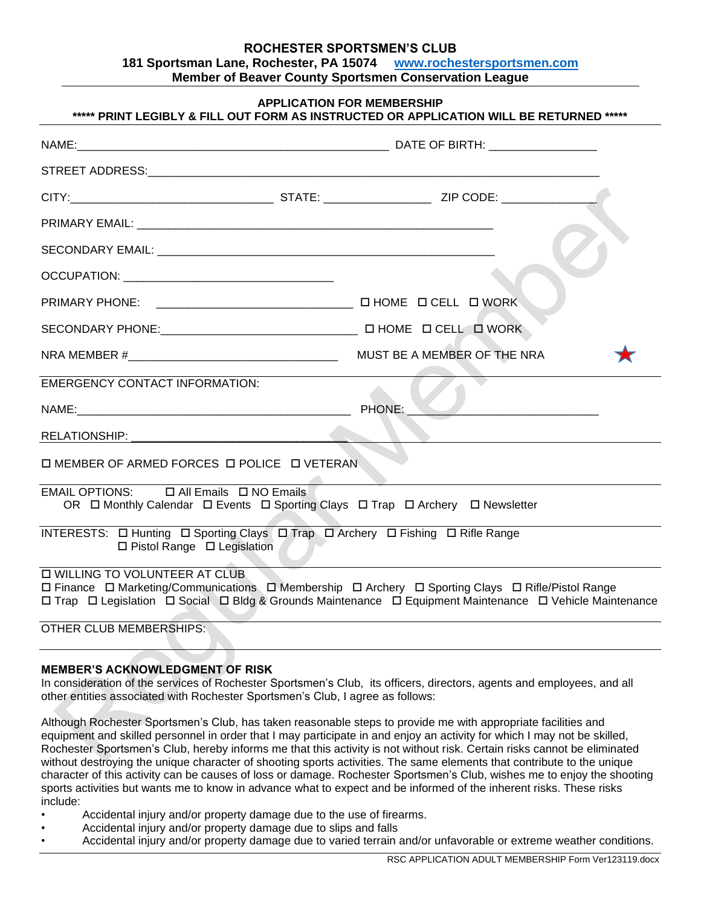## **ROCHESTER SPORTSMEN'S CLUB 181 Sportsman Lane, Rochester, PA 15074 [www.rochestersportsmen.com](http://www.rochestersportsmen.com/) Member of Beaver County Sportsmen Conservation League**

| <b>APPLICATION FOR MEMBERSHIP</b><br>***** PRINT LEGIBLY & FILL OUT FORM AS INSTRUCTED OR APPLICATION WILL BE RETURNED *****          |  |                                                                                                                                                                                                               |  |
|---------------------------------------------------------------------------------------------------------------------------------------|--|---------------------------------------------------------------------------------------------------------------------------------------------------------------------------------------------------------------|--|
|                                                                                                                                       |  |                                                                                                                                                                                                               |  |
|                                                                                                                                       |  |                                                                                                                                                                                                               |  |
|                                                                                                                                       |  |                                                                                                                                                                                                               |  |
|                                                                                                                                       |  |                                                                                                                                                                                                               |  |
|                                                                                                                                       |  |                                                                                                                                                                                                               |  |
|                                                                                                                                       |  |                                                                                                                                                                                                               |  |
|                                                                                                                                       |  |                                                                                                                                                                                                               |  |
|                                                                                                                                       |  |                                                                                                                                                                                                               |  |
|                                                                                                                                       |  | MUST BE A MEMBER OF THE NRA                                                                                                                                                                                   |  |
| <b>EMERGENCY CONTACT INFORMATION:</b>                                                                                                 |  |                                                                                                                                                                                                               |  |
|                                                                                                                                       |  |                                                                                                                                                                                                               |  |
|                                                                                                                                       |  |                                                                                                                                                                                                               |  |
| □ MEMBER OF ARMED FORCES □ POLICE □ VETERAN                                                                                           |  |                                                                                                                                                                                                               |  |
| EMAIL OPTIONS:<br>$\Box$ All Emails $\Box$ NO Emails<br>OR I Monthly Calendar I Events I Sporting Clays I Trap I Archery I Newsletter |  |                                                                                                                                                                                                               |  |
| INTERESTS: O Hunting O Sporting Clays O Trap O Archery O Fishing O Rifle Range<br>$\Box$ Pistol Range $\Box$ Legislation              |  |                                                                                                                                                                                                               |  |
| <b>D WILLING TO VOLUNTEER AT CLUB</b>                                                                                                 |  | □ Finance □ Marketing/Communications □ Membership □ Archery □ Sporting Clays □ Rifle/Pistol Range<br>□ Trap □ Legislation □ Social □ Bldg & Grounds Maintenance □ Equipment Maintenance □ Vehicle Maintenance |  |

OTHER CLUB MEMBERSHIPS:

## **MEMBER'S ACKNOWLEDGMENT OF RISK**

In consideration of the services of Rochester Sportsmen's Club, its officers, directors, agents and employees, and all other entities associated with Rochester Sportsmen's Club, I agree as follows:

Although Rochester Sportsmen's Club, has taken reasonable steps to provide me with appropriate facilities and equipment and skilled personnel in order that I may participate in and enjoy an activity for which I may not be skilled, Rochester Sportsmen's Club, hereby informs me that this activity is not without risk. Certain risks cannot be eliminated without destroying the unique character of shooting sports activities. The same elements that contribute to the unique character of this activity can be causes of loss or damage. Rochester Sportsmen's Club, wishes me to enjoy the shooting sports activities but wants me to know in advance what to expect and be informed of the inherent risks. These risks include:

- Accidental injury and/or property damage due to the use of firearms.
- Accidental injury and/or property damage due to slips and falls
- Accidental injury and/or property damage due to varied terrain and/or unfavorable or extreme weather conditions.